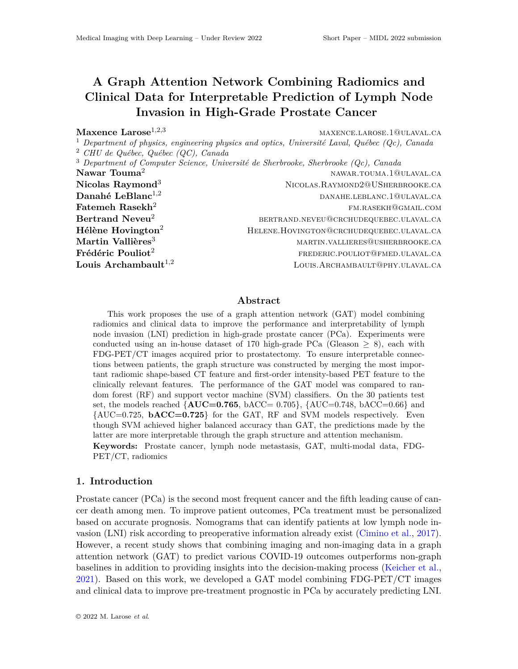# **A Graph Attention Network Combining Radiomics and Clinical Data for Interpretable Prediction of Lymph Node Invasion in High-Grade Prostate Cancer**

**Maxence Larose**<sup>1,2,3</sup> maxence.larose.1@ulaval.ca

<sup>1</sup> *Department of physics, engineering physics and optics, Université Laval, Québec (Qc), Canada* <sup>2</sup> *CHU de Québec, Québec (QC), Canada*

<sup>3</sup> *Department of Computer Science, Université de Sherbrooke, Sherbrooke (Qc), Canada* **Nawar Touma<sup>2</sup>** NAWAR.TOUMA.1@ULAVAL.CA **Nicolas Raymond**<sup>3</sup> NICOLAS.RAYMOND2@USHERBROOKE.CA **Danahé LeBlanc<sup>1,2</sup>** danahe.leblanc.1@ulaval.ca  ${\bf F}$ atemeh  ${\bf R}$ asekh $^2$  fm.rasekh@gmail.com **Bertrand Neveu<sup>2</sup>** bertrand.neveu@crchudequebec.ulaval.ca **Hélène Hovington<sup>2</sup> HELENE.HOVINGTON@CRCHUDEQUEBEC.ULAVAL.CA Martin Vallières**<sup>3</sup> martin.vallieres@usherbrooke.ca **Frédéric Pouliot**<sup>2</sup> frequence frequence frequence frequence frequence frequence for  $\mathbf{F}$ **Louis Archambault**<sup>1,2</sup> Louis.Archambault<sup>1,2</sup> Louis.Archambault@phy.ulaval.ca

# **Abstract**

This work proposes the use of a graph attention network (GAT) model combining radiomics and clinical data to improve the performance and interpretability of lymph node invasion (LNI) prediction in high-grade prostate cancer (PCa). Experiments were conducted using an in-house dataset of 170 high-grade PCa (Gleason  $\geq$  8), each with FDG-PET/CT images acquired prior to prostatectomy. To ensure interpretable connections between patients, the graph structure was constructed by merging the most important radiomic shape-based CT feature and first-order intensity-based PET feature to the clinically relevant features. The performance of the GAT model was compared to random forest (RF) and support vector machine (SVM) classifiers. On the 30 patients test set, the models reached  ${AUC=0.765, bACC=0.705}, {AUC=0.748, bACC=0.66}$  and  $\{AUC=0.725, \, \mathbf{bACC}=0.725\}$  for the GAT, RF and SVM models respectively. Even though SVM achieved higher balanced accuracy than GAT, the predictions made by the latter are more interpretable through the graph structure and attention mechanism. **Keywords:** Prostate cancer, lymph node metastasis, GAT, multi-modal data, FDG-PET/CT, radiomics

# **1. Introduction**

Prostate cancer (PCa) is the second most frequent cancer and the fifth leading cause of cancer death among men. To improve patient outcomes, PCa treatment must be personalized based on accurate prognosis. Nomograms that can identify patients at low lymph node invasion (LNI) risk according to preoperative information already exist ([Cimino et al.,](#page-2-0) [2017\)](#page-2-0). However, a recent study shows that combining imaging and non-imaging data in a graph attention network (GAT) to predict various COVID-19 outcomes outperforms non-graph baselines in addition to providing insights into the decision-making process [\(Keicher et al.,](#page-2-1) [2021\)](#page-2-1). Based on this work, we developed a GAT model combining FDG-PET/CT images and clinical data to improve pre-treatment prognostic in PCa by accurately predicting LNI.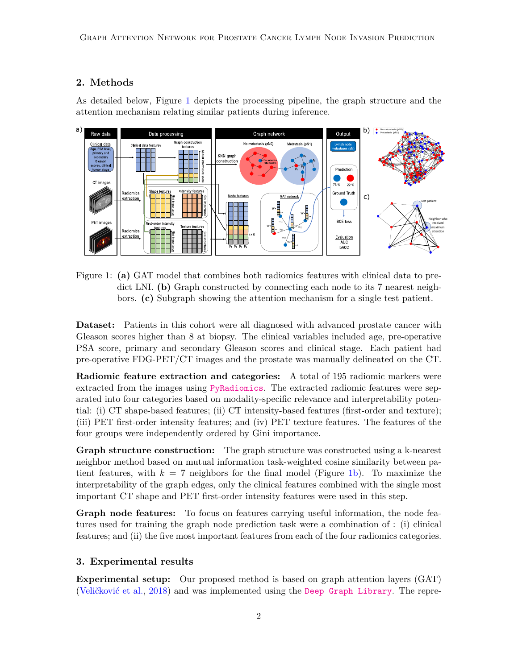# **2. Methods**

As detailed below, Figure [1](#page-1-0) depicts the processing pipeline, the graph structure and the attention mechanism relating similar patients during inference.



<span id="page-1-0"></span>Figure 1: **(a)** GAT model that combines both radiomics features with clinical data to predict LNI. **(b)** Graph constructed by connecting each node to its 7 nearest neighbors. **(c)** Subgraph showing the attention mechanism for a single test patient.

**Dataset:** Patients in this cohort were all diagnosed with advanced prostate cancer with Gleason scores higher than 8 at biopsy. The clinical variables included age, pre-operative PSA score, primary and secondary Gleason scores and clinical stage. Each patient had pre-operative FDG-PET/CT images and the prostate was manually delineated on the CT.

**Radiomic feature extraction and categories:** A total of 195 radiomic markers were extracted from the images using [PyRadiomics](https://github.com/AIM-Harvard/pyradiomics). The extracted radiomic features were separated into four categories based on modality-specific relevance and interpretability potential: (i) CT shape-based features; (ii) CT intensity-based features (first-order and texture); (iii) PET first-order intensity features; and (iv) PET texture features. The features of the four groups were independently ordered by Gini importance.

**Graph structure construction:** The graph structure was constructed using a k-nearest neighbor method based on mutual information task-weighted cosine similarity between patient features, with  $k = 7$  neighbors for the final model (Figure [1](#page-1-0)b). To maximize the interpretability of the graph edges, only the clinical features combined with the single most important CT shape and PET first-order intensity features were used in this step.

**Graph node features:** To focus on features carrying useful information, the node features used for training the graph node prediction task were a combination of : (i) clinical features; and (ii) the five most important features from each of the four radiomics categories.

# **3. Experimental results**

**Experimental setup:** Our proposed method is based on graph attention layers (GAT) [\(Veličković et al.](#page-2-2), [2018\)](#page-2-2) and was implemented using the [Deep Graph Library](https://github.com/dmlc/dgl). The repre